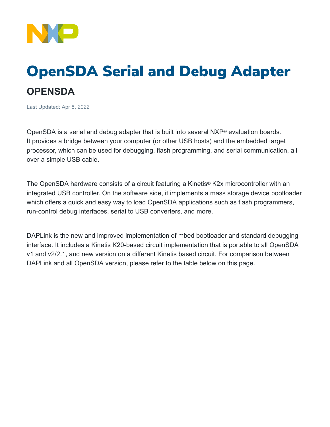

## OpenSDA Serial and Debug Adapter **OPENSDA**

Last Updated: Apr 8, 2022

OpenSDA is a serial and debug adapter that is built into several NXP® evaluation boards. It provides a bridge between your computer (or other USB hosts) and the embedded target processor, which can be used for debugging, flash programming, and serial communication, all over a simple USB cable.

The OpenSDA hardware consists of a circuit featuring a Kinetis® K2x microcontroller with an integrated USB controller. On the software side, it implements a mass storage device bootloader which offers a quick and easy way to load OpenSDA applications such as flash programmers, run-control debug interfaces, serial to USB converters, and more.

DAPLink is the new and improved implementation of mbed bootloader and standard debugging interface. It includes a Kinetis K20-based circuit implementation that is portable to all OpenSDA v1 and v2/2.1, and new version on a different Kinetis based circuit. For comparison between DAPLink and all OpenSDA version, please refer to the table below on this page.